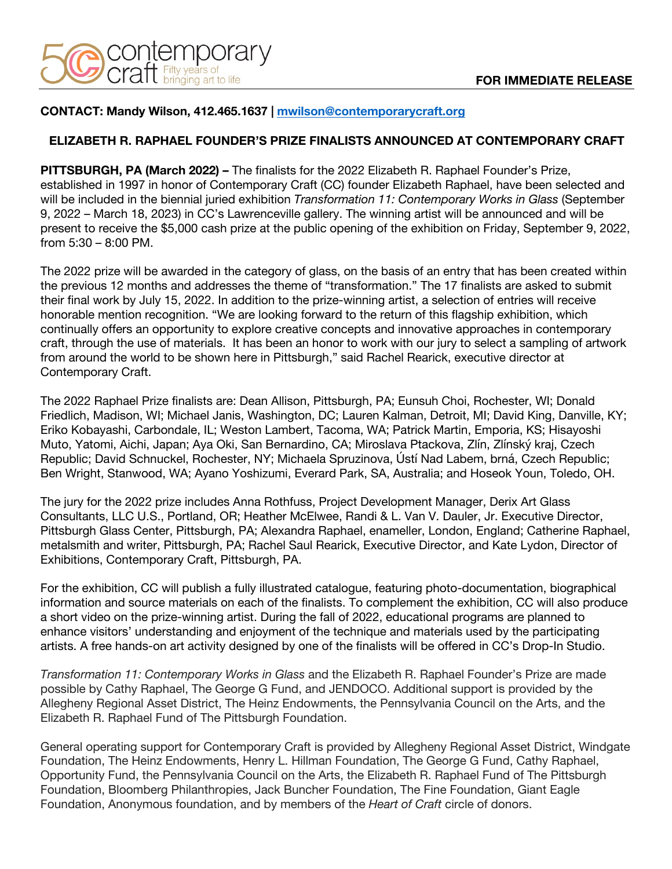

## **CONTACT: Mandy Wilson, 412.465.1637 | mwilson@contemporarycraft.org**

## **ELIZABETH R. RAPHAEL FOUNDER'S PRIZE FINALISTS ANNOUNCED AT CONTEMPORARY CRAFT**

**PITTSBURGH, PA (March 2022) –** The finalists for the 2022 Elizabeth R. Raphael Founder's Prize, established in 1997 in honor of Contemporary Craft (CC) founder Elizabeth Raphael, have been selected and will be included in the biennial juried exhibition *Transformation 11: Contemporary Works in Glass* (September 9, 2022 – March 18, 2023) in CC's Lawrenceville gallery. The winning artist will be announced and will be present to receive the \$5,000 cash prize at the public opening of the exhibition on Friday, September 9, 2022, from 5:30 – 8:00 PM.

The 2022 prize will be awarded in the category of glass, on the basis of an entry that has been created within the previous 12 months and addresses the theme of "transformation." The 17 finalists are asked to submit their final work by July 15, 2022. In addition to the prize-winning artist, a selection of entries will receive honorable mention recognition. "We are looking forward to the return of this flagship exhibition, which continually offers an opportunity to explore creative concepts and innovative approaches in contemporary craft, through the use of materials. It has been an honor to work with our jury to select a sampling of artwork from around the world to be shown here in Pittsburgh," said Rachel Rearick, executive director at Contemporary Craft.

The 2022 Raphael Prize finalists are: Dean Allison, Pittsburgh, PA; Eunsuh Choi, Rochester, WI; Donald Friedlich, Madison, WI; Michael Janis, Washington, DC; Lauren Kalman, Detroit, MI; David King, Danville, KY; Eriko Kobayashi, Carbondale, IL; Weston Lambert, Tacoma, WA; Patrick Martin, Emporia, KS; Hisayoshi Muto, Yatomi, Aichi, Japan; Aya Oki, San Bernardino, CA; Miroslava Ptackova, Zlín, Zlínský kraj, Czech Republic; David Schnuckel, Rochester, NY; Michaela Spruzinova, Ústí Nad Labem, brná, Czech Republic; Ben Wright, Stanwood, WA; Ayano Yoshizumi, Everard Park, SA, Australia; and Hoseok Youn, Toledo, OH.

The jury for the 2022 prize includes Anna Rothfuss, Project Development Manager, Derix Art Glass Consultants, LLC U.S., Portland, OR; Heather McElwee, Randi & L. Van V. Dauler, Jr. Executive Director, Pittsburgh Glass Center, Pittsburgh, PA; Alexandra Raphael, enameller, London, England; Catherine Raphael, metalsmith and writer, Pittsburgh, PA; Rachel Saul Rearick, Executive Director, and Kate Lydon, Director of Exhibitions, Contemporary Craft, Pittsburgh, PA.

For the exhibition, CC will publish a fully illustrated catalogue, featuring photo-documentation, biographical information and source materials on each of the finalists. To complement the exhibition, CC will also produce a short video on the prize-winning artist. During the fall of 2022, educational programs are planned to enhance visitors' understanding and enjoyment of the technique and materials used by the participating artists. A free hands-on art activity designed by one of the finalists will be offered in CC's Drop-In Studio.

*Transformation 11: Contemporary Works in Glass* and the Elizabeth R. Raphael Founder's Prize are made possible by Cathy Raphael, The George G Fund, and JENDOCO. Additional support is provided by the Allegheny Regional Asset District, The Heinz Endowments, the Pennsylvania Council on the Arts, and the Elizabeth R. Raphael Fund of The Pittsburgh Foundation.

General operating support for Contemporary Craft is provided by Allegheny Regional Asset District, Windgate Foundation, The Heinz Endowments, Henry L. Hillman Foundation, The George G Fund, Cathy Raphael, Opportunity Fund, the Pennsylvania Council on the Arts, the Elizabeth R. Raphael Fund of The Pittsburgh Foundation, Bloomberg Philanthropies, Jack Buncher Foundation, The Fine Foundation, Giant Eagle Foundation, Anonymous foundation, and by members of the *Heart of Craft* circle of donors.